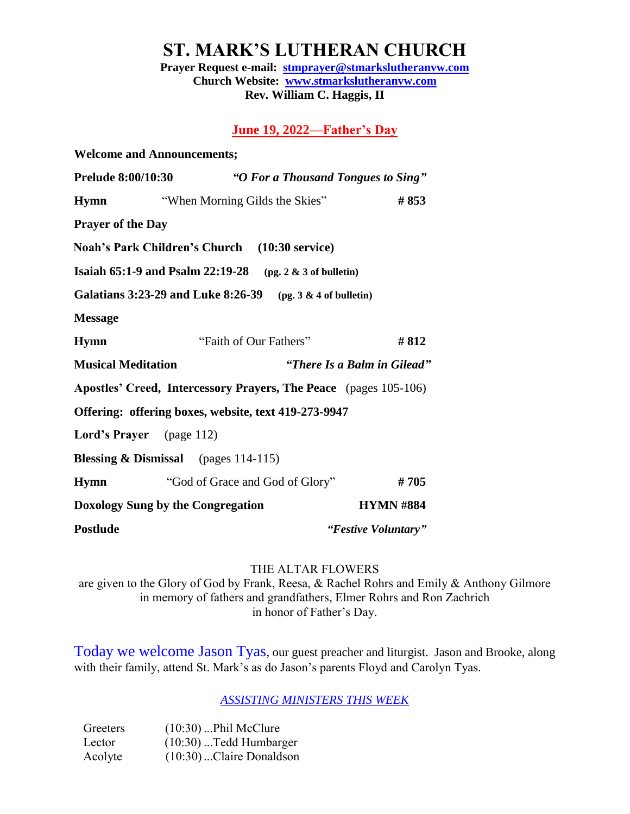**ST. MARK'S LUTHERAN CHURCH**

**Prayer Request e-mail: [stmprayer@stmarkslutheranvw.com](mailto:stmprayer@stmarkslutheranvw.com) Church Website: [www.stmarkslutheranvw.com](http://www.stmarkslutheranvw.com/) Rev. William C. Haggis, II**

### **June 19, 2022—Father's Day**

| <b>Welcome and Announcements;</b>                    |                        |                                 |                           |                                                                  |
|------------------------------------------------------|------------------------|---------------------------------|---------------------------|------------------------------------------------------------------|
| <b>Prelude 8:00/10:30</b>                            |                        |                                 |                           | "O For a Thousand Tongues to Sing"                               |
| <b>Hymn</b>                                          |                        | "When Morning Gilds the Skies"  |                           | #853                                                             |
| <b>Prayer of the Day</b>                             |                        |                                 |                           |                                                                  |
| Noah's Park Children's Church (10:30 service)        |                        |                                 |                           |                                                                  |
| Isaiah 65:1-9 and Psalm 22:19-28                     |                        |                                 | $(pg. 2 & 3$ of bulletin) |                                                                  |
| <b>Galatians 3:23-29 and Luke 8:26-39</b>            |                        |                                 | $(pg. 3 & 4$ of bulletin) |                                                                  |
| <b>Message</b>                                       |                        |                                 |                           |                                                                  |
| <b>Hymn</b>                                          | "Faith of Our Fathers" |                                 |                           | #812                                                             |
| <b>Musical Meditation</b>                            |                        |                                 |                           | "There Is a Balm in Gilead"                                      |
|                                                      |                        |                                 |                           | Apostles' Creed, Intercessory Prayers, The Peace (pages 105-106) |
| Offering: offering boxes, website, text 419-273-9947 |                        |                                 |                           |                                                                  |
| <b>Lord's Prayer</b> (page 112)                      |                        |                                 |                           |                                                                  |
| <b>Blessing &amp; Dismissal</b> (pages 114-115)      |                        |                                 |                           |                                                                  |
| <b>Hymn</b>                                          |                        | "God of Grace and God of Glory" |                           | #705                                                             |
| Doxology Sung by the Congregation                    |                        |                                 | <b>HYMN #884</b>          |                                                                  |
| <b>Postlude</b>                                      |                        |                                 |                           | "Festive Voluntary"                                              |

### THE ALTAR FLOWERS

are given to the Glory of God by Frank, Reesa, & Rachel Rohrs and Emily & Anthony Gilmore in memory of fathers and grandfathers, Elmer Rohrs and Ron Zachrich in honor of Father's Day.

Today we welcome Jason Tyas, our guest preacher and liturgist. Jason and Brooke, along with their family, attend St. Mark's as do Jason's parents Floyd and Carolyn Tyas.

*ASSISTING MINISTERS THIS WEEK*

| Greeters | $(10:30)$ Phil McClure     |
|----------|----------------------------|
| Lector   | $(10:30)$ Tedd Humbarger   |
| Acolyte  | $(10:30)$ Claire Donaldson |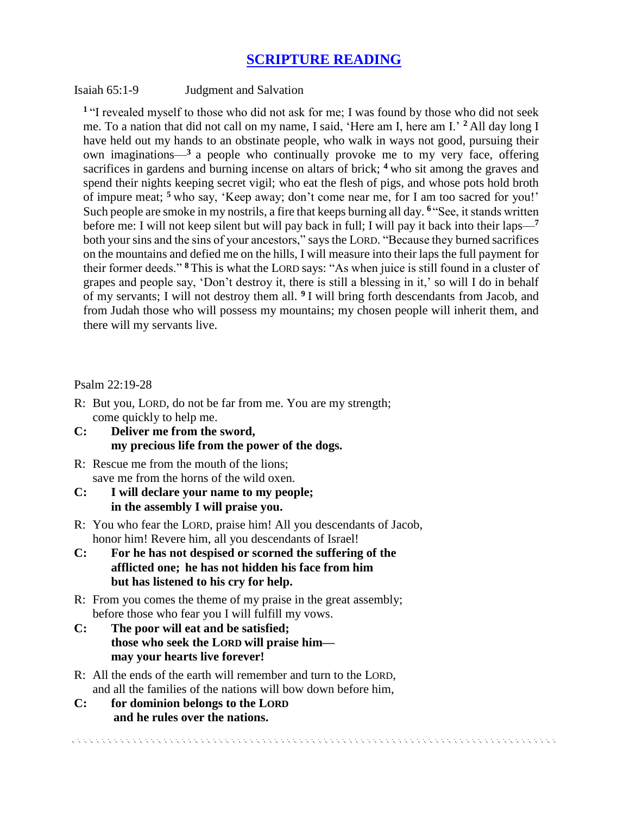## **SCRIPTURE READING**

#### Isaiah 65:1-9 Judgment and Salvation

**<sup>1</sup>**"I revealed myself to those who did not ask for me; I was found by those who did not seek me. To a nation that did not call on my name, I said, 'Here am I, here am I.' **<sup>2</sup>** All day long I have held out my hands to an obstinate people, who walk in ways not good, pursuing their own imaginations—**<sup>3</sup>** a people who continually provoke me to my very face, offering sacrifices in gardens and burning incense on altars of brick; <sup>4</sup> who sit among the graves and spend their nights keeping secret vigil; who eat the flesh of pigs, and whose pots hold broth of impure meat; **<sup>5</sup>** who say, 'Keep away; don't come near me, for I am too sacred for you!' Such people are smoke in my nostrils, a fire that keeps burning all day. **<sup>6</sup>** "See, it stands written before me: I will not keep silent but will pay back in full; I will pay it back into their laps—**<sup>7</sup>** both your sins and the sins of your ancestors," says the LORD. "Because they burned sacrifices on the mountains and defied me on the hills, I will measure into their laps the full payment for their former deeds." **<sup>8</sup>** This is what the LORD says: "As when juice is still found in a cluster of grapes and people say, 'Don't destroy it, there is still a blessing in it,' so will I do in behalf of my servants; I will not destroy them all. **<sup>9</sup>** I will bring forth descendants from Jacob, and from Judah those who will possess my mountains; my chosen people will inherit them, and there will my servants live.

### Psalm 22:19-28

- R: But you, LORD, do not be far from me. You are my strength; come quickly to help me.
- **C: Deliver me from the sword, my precious life from the power of the dogs.**
- R: Rescue me from the mouth of the lions; save me from the horns of the wild oxen.
- **C: I will declare your name to my people; in the assembly I will praise you.**
- R: You who fear the LORD, praise him! All you descendants of Jacob, honor him! Revere him, all you descendants of Israel!
- **C: For he has not despised or scorned the suffering of the afflicted one; he has not hidden his face from him but has listened to his cry for help.**
- R: From you comes the theme of my praise in the great assembly; before those who fear you I will fulfill my vows.
- **C: The poor will eat and be satisfied; those who seek the LORD will praise him may your hearts live forever!**
- R: All the ends of the earth will remember and turn to the LORD, and all the families of the nations will bow down before him,

**C: for dominion belongs to the LORD and he rules over the nations.**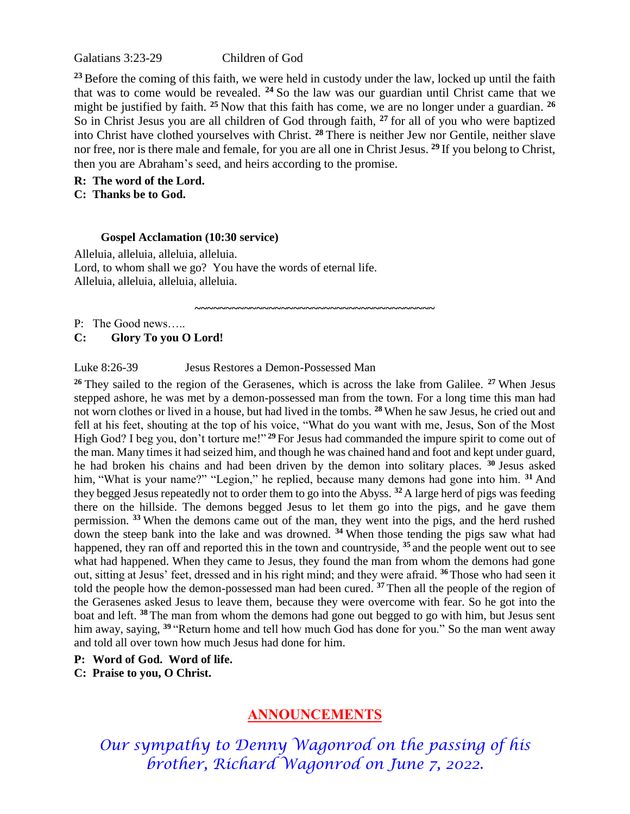Galatians 3:23-29 Children of God

**<sup>23</sup>**Before the coming of this faith, we were held in custody under the law, locked up until the faith that was to come would be revealed. **<sup>24</sup>** So the law was our guardian until Christ came that we might be justified by faith. **<sup>25</sup>** Now that this faith has come, we are no longer under a guardian. **<sup>26</sup>** So in Christ Jesus you are all children of God through faith, **<sup>27</sup>** for all of you who were baptized into Christ have clothed yourselves with Christ. **<sup>28</sup>** There is neither Jew nor Gentile, neither slave nor free, nor is there male and female, for you are all one in Christ Jesus. **<sup>29</sup>** If you belong to Christ, then you are Abraham's seed, and heirs according to the promise.

**~~~~~~~~~~~~~~~~~~~~~~~~~~~~~~~~~~~~~~~**

**R: The word of the Lord. C: Thanks be to God.** 

#### **Gospel Acclamation (10:30 service)**

Alleluia, alleluia, alleluia, alleluia. Lord, to whom shall we go? You have the words of eternal life. Alleluia, alleluia, alleluia, alleluia.

P: The Good news…..

**C: Glory To you O Lord!**

### Luke 8:26-39 Jesus Restores a Demon-Possessed Man

**<sup>26</sup>**They sailed to the region of the Gerasenes, which is across the lake from Galilee. **<sup>27</sup>**When Jesus stepped ashore, he was met by a demon-possessed man from the town. For a long time this man had not worn clothes or lived in a house, but had lived in the tombs. **<sup>28</sup>**When he saw Jesus, he cried out and fell at his feet, shouting at the top of his voice, "What do you want with me, Jesus, Son of the Most High God? I beg you, don't torture me!"<sup>29</sup> For Jesus had commanded the impure spirit to come out of the man. Many times it had seized him, and though he was chained hand and foot and kept under guard, he had broken his chains and had been driven by the demon into solitary places. **<sup>30</sup>**Jesus asked him, "What is your name?" "Legion," he replied, because many demons had gone into him. <sup>31</sup> And they begged Jesus repeatedly not to order them to go into the Abyss. **<sup>32</sup>**A large herd of pigs was feeding there on the hillside. The demons begged Jesus to let them go into the pigs, and he gave them permission. **<sup>33</sup>**When the demons came out of the man, they went into the pigs, and the herd rushed down the steep bank into the lake and was drowned. **<sup>34</sup>**When those tending the pigs saw what had happened, they ran off and reported this in the town and countryside, **<sup>35</sup>**and the people went out to see what had happened. When they came to Jesus, they found the man from whom the demons had gone out, sitting at Jesus' feet, dressed and in his right mind; and they were afraid. **<sup>36</sup>**Those who had seen it told the people how the demon-possessed man had been cured. **<sup>37</sup>** Then all the people of the region of the Gerasenes asked Jesus to leave them, because they were overcome with fear. So he got into the boat and left. **<sup>38</sup>** The man from whom the demons had gone out begged to go with him, but Jesus sent him away, saying, **<sup>39</sup>** "Return home and tell how much God has done for you." So the man went away and told all over town how much Jesus had done for him.

- **P: Word of God. Word of life.**
- **C: Praise to you, O Christ.**

## **ANNOUNCEMENTS**

*Our sympathy to Denny Wagonrod on the passing of his brother, Richard Wagonrod on June 7, 2022.*